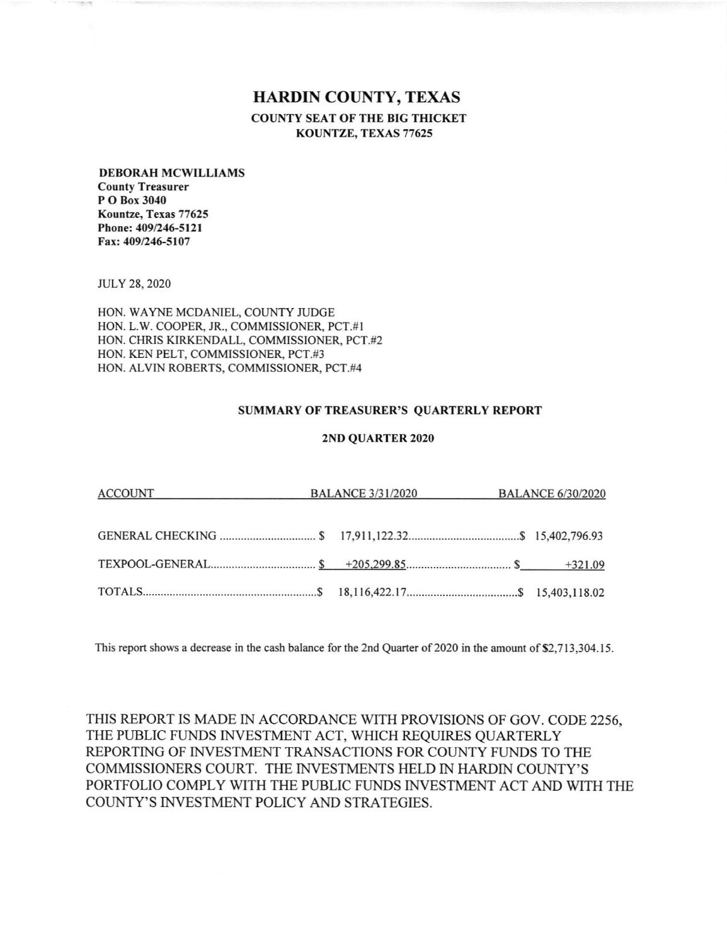## **HARDIN COUNTY, TEXAS COUNTY SEAT OF THE BIG THICKET** KOUNTZE, TEXAS 77625

## **DEBORAH MCWILLIAMS County Treasurer** P O Box 3040 Kountze, Texas 77625

Phone: 409/246-5121 Fax: 409/246-5107

**JULY 28, 2020** 

HON. WAYNE MCDANIEL, COUNTY JUDGE HON. L.W. COOPER, JR., COMMISSIONER, PCT.#1 HON. CHRIS KIRKENDALL, COMMISSIONER, PCT.#2 HON. KEN PELT, COMMISSIONER, PCT.#3 HON. ALVIN ROBERTS, COMMISSIONER, PCT.#4

## **SUMMARY OF TREASURER'S QUARTERLY REPORT**

## 2ND QUARTER 2020

| ACCOUNT BALANCE 3/31/2020 BALANCE 6/30/2020 |  |  |
|---------------------------------------------|--|--|
|                                             |  |  |
|                                             |  |  |
|                                             |  |  |

This report shows a decrease in the cash balance for the 2nd Quarter of 2020 in the amount of \$2,713,304.15.

THIS REPORT IS MADE IN ACCORDANCE WITH PROVISIONS OF GOV. CODE 2256, THE PUBLIC FUNDS INVESTMENT ACT, WHICH REQUIRES QUARTERLY REPORTING OF INVESTMENT TRANSACTIONS FOR COUNTY FUNDS TO THE COMMISSIONERS COURT. THE INVESTMENTS HELD IN HARDIN COUNTY'S PORTFOLIO COMPLY WITH THE PUBLIC FUNDS INVESTMENT ACT AND WITH THE COUNTY'S INVESTMENT POLICY AND STRATEGIES.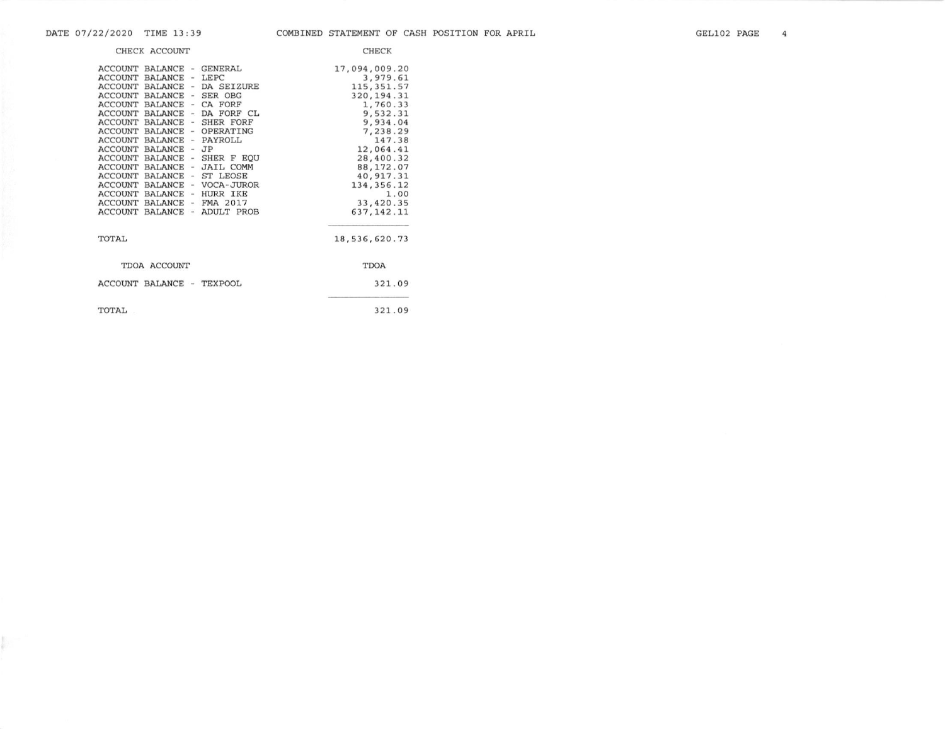p.

| CHECK ACCOUNT                                                                                                                                                                                                                                                                                                                                                                                                                                                                                                                                                                                                                                                                                                                                                                                                                                                                 | <b>CHECK</b>                                                                                                                                                                                                                |
|-------------------------------------------------------------------------------------------------------------------------------------------------------------------------------------------------------------------------------------------------------------------------------------------------------------------------------------------------------------------------------------------------------------------------------------------------------------------------------------------------------------------------------------------------------------------------------------------------------------------------------------------------------------------------------------------------------------------------------------------------------------------------------------------------------------------------------------------------------------------------------|-----------------------------------------------------------------------------------------------------------------------------------------------------------------------------------------------------------------------------|
| <b>ACCOUNT</b><br>BALANCE - GENERAL<br><b>ACCOUNT</b><br><b>BALANCE</b><br>$-$ LEPC<br><b>ACCOUNT</b><br><b>BALANCE</b><br>- DA SEIZURE<br><b>ACCOUNT</b><br><b>BALANCE</b><br>- SER OBG<br><b>ACCOUNT</b><br><b>BALANCE</b><br>- CA FORF<br><b>ACCOUNT</b><br><b>BALANCE</b><br>- DA FORF CL<br>ACCOUNT<br><b>BALANCE</b><br>- SHER FORF<br><b>ACCOUNT</b><br><b>BALANCE</b><br>- OPERATING<br><b>ACCOUNT</b><br><b>BALANCE</b><br>- PAYROLL<br><b>ACCOUNT</b><br><b>BALANCE</b><br>$-JP$<br><b>ACCOUNT</b><br>BALANCE<br>- SHER F EOU<br>- JAIL COMM<br><b>ACCOUNT</b><br><b>BALANCE</b><br>- ST LEOSE<br><b>ACCOUNT</b><br><b>BALANCE</b><br><b>ACCOUNT</b><br>- VOCA-JUROR<br><b>BALANCE</b><br>- HURR IKE<br>ACCOUNT<br><b>BALANCE</b><br>$-$ FMA 2017<br><b>ACCOUNT</b><br><b>BALANCE</b><br>ADULT PROB<br><b>ACCOUNT</b><br><b>BALANCE</b><br>$\overline{\phantom{a}}$ | 17,094,009.20<br>3,979.61<br>115, 351.57<br>320, 194.31<br>1,760.33<br>9,532.31<br>9,934.04<br>7,238.29<br>147.38<br>12,064.41<br>28,400.32<br>88, 172.07<br>40, 917.31<br>134, 356.12<br>1.00<br>33,420.35<br>637, 142. 11 |
| TOTAL                                                                                                                                                                                                                                                                                                                                                                                                                                                                                                                                                                                                                                                                                                                                                                                                                                                                         | 18,536,620.73                                                                                                                                                                                                               |
| TDOA ACCOUNT                                                                                                                                                                                                                                                                                                                                                                                                                                                                                                                                                                                                                                                                                                                                                                                                                                                                  | <b>TDOA</b>                                                                                                                                                                                                                 |
| ACCOUNT BALANCE -<br><b>TEXPOOL</b>                                                                                                                                                                                                                                                                                                                                                                                                                                                                                                                                                                                                                                                                                                                                                                                                                                           | 321.09                                                                                                                                                                                                                      |
| TOTAL                                                                                                                                                                                                                                                                                                                                                                                                                                                                                                                                                                                                                                                                                                                                                                                                                                                                         | 321.09                                                                                                                                                                                                                      |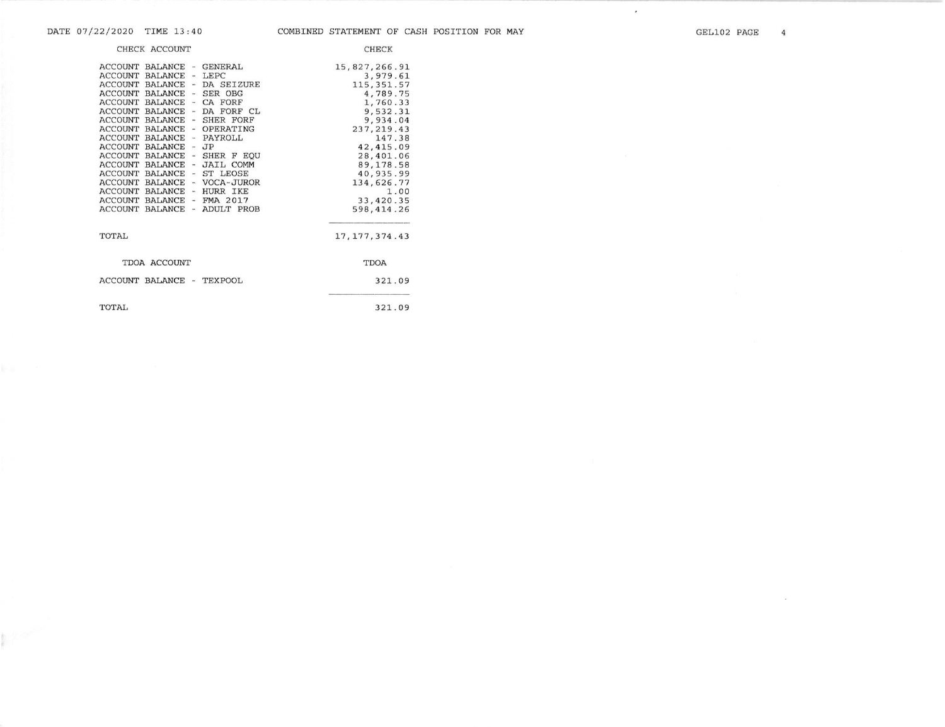$\sim$ 

 $\star$ 

|                                                                                                                                                                                                                          | CHECK ACCOUNT                                                                                                                                                                                            |                                                                          |                                                                                                                                                                                                                                                     | <b>CHECK</b>                                                                                                                                                                                                              |
|--------------------------------------------------------------------------------------------------------------------------------------------------------------------------------------------------------------------------|----------------------------------------------------------------------------------------------------------------------------------------------------------------------------------------------------------|--------------------------------------------------------------------------|-----------------------------------------------------------------------------------------------------------------------------------------------------------------------------------------------------------------------------------------------------|---------------------------------------------------------------------------------------------------------------------------------------------------------------------------------------------------------------------------|
| ACCOUNT<br><b>ACCOUNT</b><br><b>ACCOUNT</b><br><b>ACCOUNT</b><br><b>ACCOUNT</b><br>ACCOUNT<br><b>ACCOUNT</b><br><b>ACCOUNT</b><br><b>ACCOUNT</b><br><b>ACCOUNT</b><br><b>ACCOUNT</b><br><b>ACCOUNT</b><br><b>ACCOUNT</b> | BALANCE - GENERAL<br><b>BALANCE</b><br><b>BALANCE</b><br><b>BALANCE</b><br>BALANCE<br><b>BALANCE</b><br>ACCOUNT BALANCE<br>BALANCE<br>ACCOUNT BALANCE - HURR IKE<br>BALANCE - FMA 2017<br><b>BALANCE</b> | $\overline{\phantom{a}}$<br>$\sim$<br>$-$ JP<br>$\overline{\phantom{a}}$ | $-LEPC$<br>ACCOUNT BALANCE - DA SEIZURE<br>- SER OBG<br>CA FORF<br>DA FORF CL<br>BALANCE - SHER FORF<br>BALANCE - OPERATING<br>- PAYROLL<br>BALANCE - SHER F EQU<br>ACCOUNT BALANCE - JAIL COMM<br>ST LEOSE<br>BALANCE - VOCA-JUROR<br>- ADULT PROB | 15,827,266.91<br>3,979.61<br>115, 351.57<br>4,789.75<br>1,760.33<br>9,532.31<br>9,934.04<br>237, 219.43<br>147.38<br>42, 415.09<br>28,401.06<br>89, 178.58<br>40,935.99<br>134,626.77<br>1.00<br>33,420.35<br>598, 414.26 |
| TOTAL                                                                                                                                                                                                                    |                                                                                                                                                                                                          |                                                                          |                                                                                                                                                                                                                                                     | 17, 177, 374.43                                                                                                                                                                                                           |
|                                                                                                                                                                                                                          | TDOA ACCOUNT                                                                                                                                                                                             |                                                                          |                                                                                                                                                                                                                                                     | <b>TDOA</b>                                                                                                                                                                                                               |
|                                                                                                                                                                                                                          | ACCOUNT BALANCE - TEXPOOL                                                                                                                                                                                |                                                                          |                                                                                                                                                                                                                                                     | 321.09                                                                                                                                                                                                                    |
| TOTAL                                                                                                                                                                                                                    |                                                                                                                                                                                                          |                                                                          |                                                                                                                                                                                                                                                     | 321.09                                                                                                                                                                                                                    |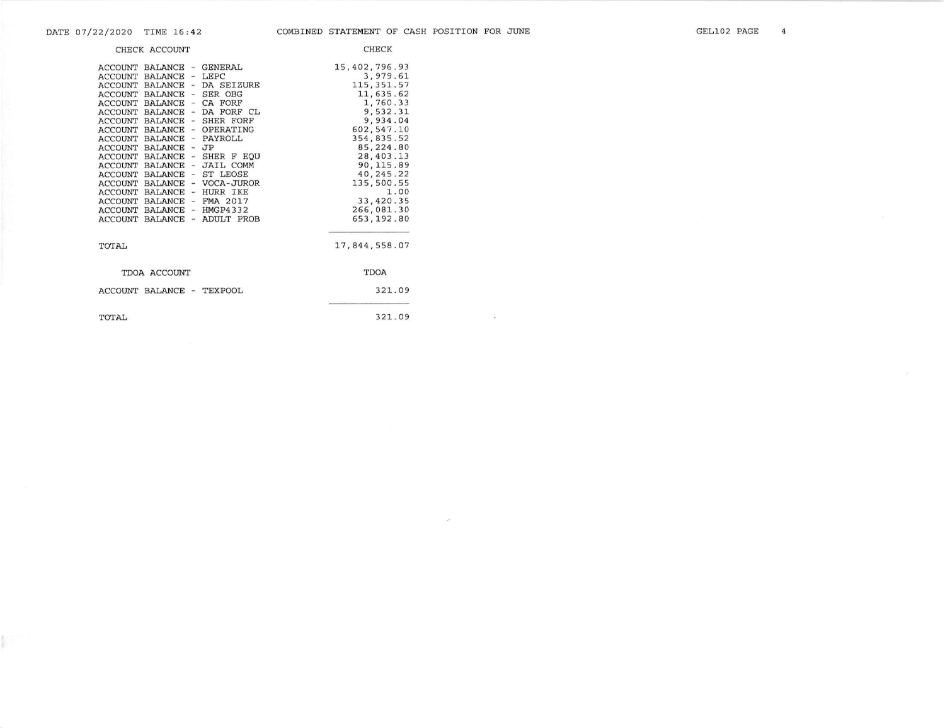**Martin** 

 $\mathcal{L}_{\mathbf{z}}$ 

Ù.

|                                                                                                                                                                                                                                                                                              | CHECK ACCOUNT                                                                                                                                                                                                                                                                                                                      |                                                                                                                                                                                                                                                                                                                                                                                                                          | <b>CHECK</b>                                                                                                                                                                                                                                  |
|----------------------------------------------------------------------------------------------------------------------------------------------------------------------------------------------------------------------------------------------------------------------------------------------|------------------------------------------------------------------------------------------------------------------------------------------------------------------------------------------------------------------------------------------------------------------------------------------------------------------------------------|--------------------------------------------------------------------------------------------------------------------------------------------------------------------------------------------------------------------------------------------------------------------------------------------------------------------------------------------------------------------------------------------------------------------------|-----------------------------------------------------------------------------------------------------------------------------------------------------------------------------------------------------------------------------------------------|
| <b>ACCOUNT</b><br><b>ACCOUNT</b><br><b>ACCOUNT</b><br><b>ACCOUNT</b><br><b>ACCOUNT</b><br><b>ACCOUNT</b><br><b>ACCOUNT</b><br><b>ACCOUNT</b><br><b>ACCOUNT</b><br><b>ACCOUNT</b><br><b>ACCOUNT</b><br><b>ACCOUNT</b><br><b>ACCOUNT</b><br><b>ACCOUNT</b><br><b>ACCOUNT</b><br><b>ACCOUNT</b> | ACCOUNT BALANCE<br><b>BALANCE</b><br>BALANCE<br><b>BALANCE</b><br><b>BALANCE</b><br><b>BALANCE</b><br><b>BALANCE</b><br><b>BALANCE</b><br><b>BALANCE</b><br><b>BALANCE</b><br><b>BALANCE</b><br><b>BALANCE</b><br><b>BALANCE</b><br><b>ACCOUNT BALANCE</b><br><b>BALANCE</b><br><b>BALANCE</b><br><b>BALANCE</b><br><b>BALANCE</b> | <b>GENERAL</b><br>$\overline{\phantom{a}}$<br>LEPC<br>$\overline{\phantom{a}}$<br>- DA SEIZURE<br>- SER OBG<br>CA FORF<br>$\overline{\phantom{m}}$<br>÷,<br>DA FORF CL<br>SHER FORF<br>$\sim$<br>OPERATING<br>$\frac{1}{2}$<br>- PAYROLL<br>JP<br>$\sim$<br>SHER F EOU<br>ă.<br><b>JAIL COMM</b><br>$\rightarrow$<br>- ST LEOSE<br>- VOCA-JUROR<br>- HURR IKE<br>$-$ FMA 2017<br>$-$ HMGP4332<br><b>ADULT PROB</b><br>m. | 15,402,796.93<br>3,979.61<br>115, 351.57<br>11,635.62<br>1,760.33<br>9,532.31<br>9,934.04<br>602, 547.10<br>354,835.52<br>85,224.80<br>28, 403.13<br>90, 115.89<br>40,245.22<br>135,500.55<br>1.00<br>33, 420.35<br>266,081.30<br>653, 192.80 |
| TOTAL                                                                                                                                                                                                                                                                                        |                                                                                                                                                                                                                                                                                                                                    |                                                                                                                                                                                                                                                                                                                                                                                                                          | 17,844,558.07                                                                                                                                                                                                                                 |
|                                                                                                                                                                                                                                                                                              | TDOA ACCOUNT                                                                                                                                                                                                                                                                                                                       |                                                                                                                                                                                                                                                                                                                                                                                                                          | <b>TDOA</b>                                                                                                                                                                                                                                   |
|                                                                                                                                                                                                                                                                                              | ACCOUNT BALANCE -                                                                                                                                                                                                                                                                                                                  | TEXPOOL                                                                                                                                                                                                                                                                                                                                                                                                                  | 321.09                                                                                                                                                                                                                                        |
| TOTAL                                                                                                                                                                                                                                                                                        |                                                                                                                                                                                                                                                                                                                                    |                                                                                                                                                                                                                                                                                                                                                                                                                          | 321.09                                                                                                                                                                                                                                        |